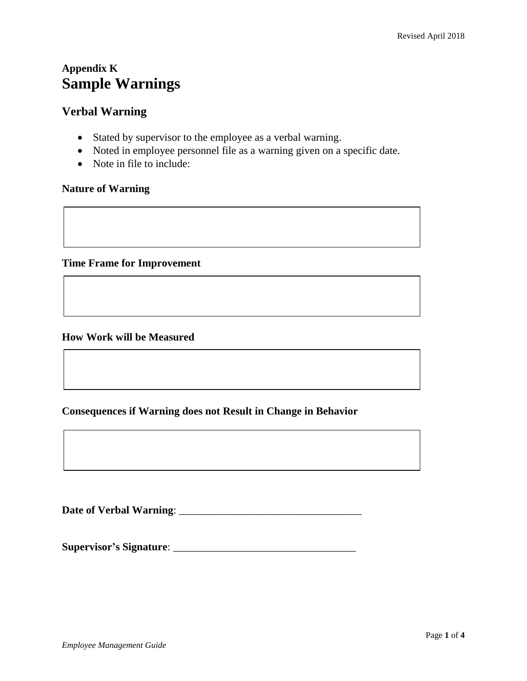# **Appendix K Sample Warnings**

## **Verbal Warning**

- Stated by supervisor to the employee as a verbal warning.
- Noted in employee personnel file as a warning given on a specific date.
- Note in file to include:

### **Nature of Warning**

**Time Frame for Improvement**

#### **How Work will be Measured**

## **Consequences if Warning does not Result in Change in Behavior**

**Date of Verbal Warning**: \_\_\_\_\_\_\_\_\_\_\_\_\_\_\_\_\_\_\_\_\_\_\_\_\_\_\_\_\_\_\_\_\_\_

**Supervisor's Signature**: \_\_\_\_\_\_\_\_\_\_\_\_\_\_\_\_\_\_\_\_\_\_\_\_\_\_\_\_\_\_\_\_\_\_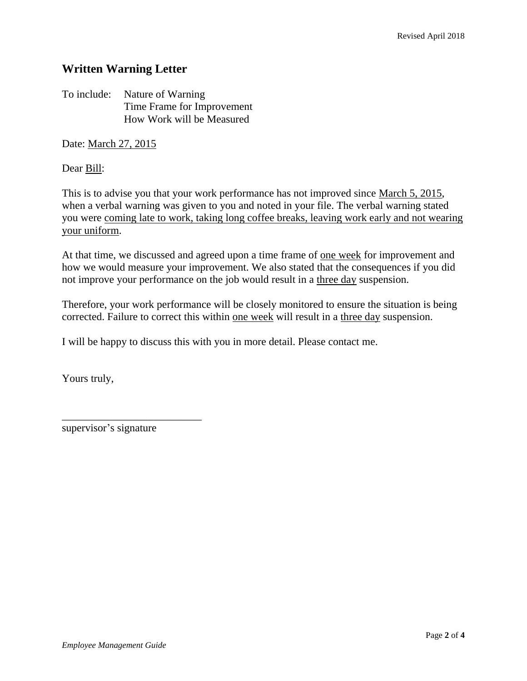## **Written Warning Letter**

To include: Nature of Warning Time Frame for Improvement How Work will be Measured

Date: March 27, 2015

Dear Bill:

This is to advise you that your work performance has not improved since March 5, 2015, when a verbal warning was given to you and noted in your file. The verbal warning stated you were coming late to work, taking long coffee breaks, leaving work early and not wearing your uniform.

At that time, we discussed and agreed upon a time frame of <u>one week</u> for improvement and how we would measure your improvement. We also stated that the consequences if you did not improve your performance on the job would result in a three day suspension.

Therefore, your work performance will be closely monitored to ensure the situation is being corrected. Failure to correct this within one week will result in a three day suspension.

I will be happy to discuss this with you in more detail. Please contact me.

Yours truly,

supervisor's signature

\_\_\_\_\_\_\_\_\_\_\_\_\_\_\_\_\_\_\_\_\_\_\_\_\_\_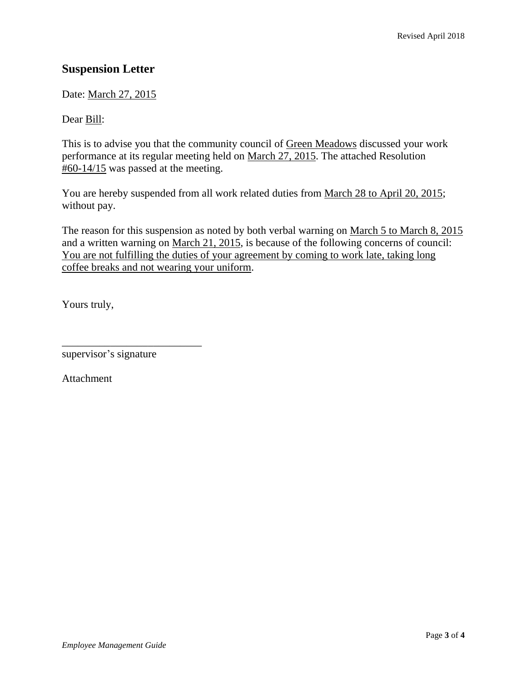# **Suspension Letter**

Date: March 27, 2015

Dear Bill:

This is to advise you that the community council of Green Meadows discussed your work performance at its regular meeting held on March 27, 2015. The attached Resolution  $\text{\#}60\text{-}14/15$  was passed at the meeting.

You are hereby suspended from all work related duties from March 28 to April 20, 2015; without pay.

The reason for this suspension as noted by both verbal warning on March 5 to March 8, 2015 and a written warning on March 21, 2015, is because of the following concerns of council: You are not fulfilling the duties of your agreement by coming to work late, taking long coffee breaks and not wearing your uniform.

Yours truly,

supervisor's signature

\_\_\_\_\_\_\_\_\_\_\_\_\_\_\_\_\_\_\_\_\_\_\_\_\_\_

Attachment